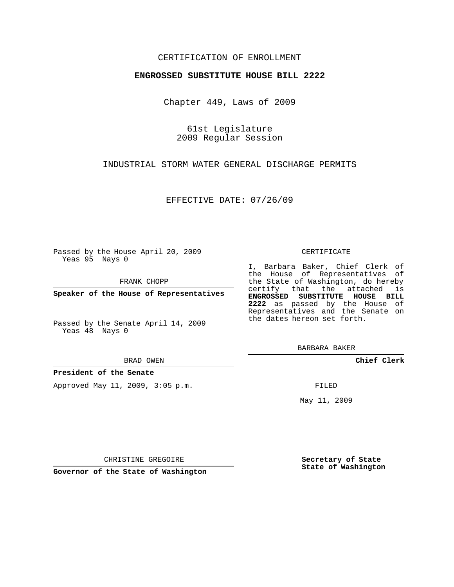# CERTIFICATION OF ENROLLMENT

## **ENGROSSED SUBSTITUTE HOUSE BILL 2222**

Chapter 449, Laws of 2009

61st Legislature 2009 Regular Session

INDUSTRIAL STORM WATER GENERAL DISCHARGE PERMITS

EFFECTIVE DATE: 07/26/09

Passed by the House April 20, 2009 Yeas 95 Nays 0

FRANK CHOPP

**Speaker of the House of Representatives**

Passed by the Senate April 14, 2009 Yeas 48 Nays 0

#### BRAD OWEN

## **President of the Senate**

Approved May 11, 2009, 3:05 p.m.

#### CERTIFICATE

I, Barbara Baker, Chief Clerk of the House of Representatives of the State of Washington, do hereby certify that the attached is **ENGROSSED SUBSTITUTE HOUSE BILL 2222** as passed by the House of Representatives and the Senate on the dates hereon set forth.

BARBARA BAKER

**Chief Clerk**

FILED

May 11, 2009

**Secretary of State State of Washington**

CHRISTINE GREGOIRE

**Governor of the State of Washington**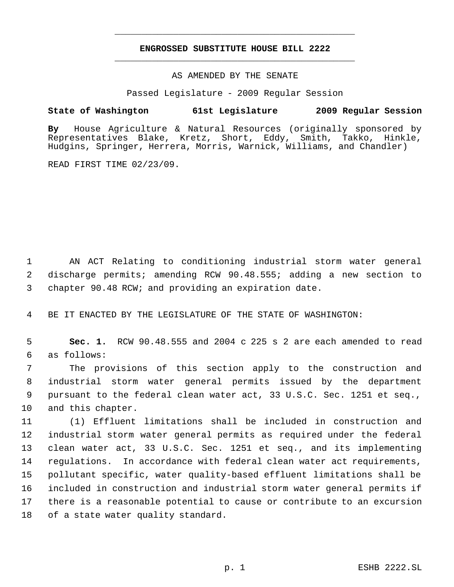# **ENGROSSED SUBSTITUTE HOUSE BILL 2222** \_\_\_\_\_\_\_\_\_\_\_\_\_\_\_\_\_\_\_\_\_\_\_\_\_\_\_\_\_\_\_\_\_\_\_\_\_\_\_\_\_\_\_\_\_

\_\_\_\_\_\_\_\_\_\_\_\_\_\_\_\_\_\_\_\_\_\_\_\_\_\_\_\_\_\_\_\_\_\_\_\_\_\_\_\_\_\_\_\_\_

## AS AMENDED BY THE SENATE

Passed Legislature - 2009 Regular Session

# **State of Washington 61st Legislature 2009 Regular Session**

**By** House Agriculture & Natural Resources (originally sponsored by Representatives Blake, Kretz, Short, Eddy, Smith, Takko, Hinkle, Hudgins, Springer, Herrera, Morris, Warnick, Williams, and Chandler)

READ FIRST TIME 02/23/09.

 AN ACT Relating to conditioning industrial storm water general discharge permits; amending RCW 90.48.555; adding a new section to chapter 90.48 RCW; and providing an expiration date.

BE IT ENACTED BY THE LEGISLATURE OF THE STATE OF WASHINGTON:

 **Sec. 1.** RCW 90.48.555 and 2004 c 225 s 2 are each amended to read as follows:

 The provisions of this section apply to the construction and industrial storm water general permits issued by the department pursuant to the federal clean water act, 33 U.S.C. Sec. 1251 et seq., and this chapter.

 (1) Effluent limitations shall be included in construction and industrial storm water general permits as required under the federal clean water act, 33 U.S.C. Sec. 1251 et seq., and its implementing regulations. In accordance with federal clean water act requirements, pollutant specific, water quality-based effluent limitations shall be included in construction and industrial storm water general permits if there is a reasonable potential to cause or contribute to an excursion of a state water quality standard.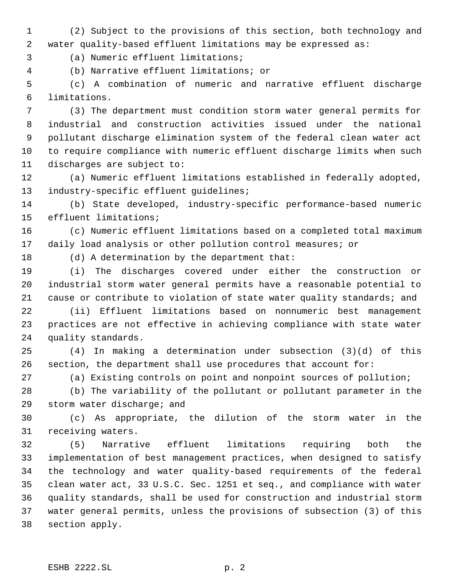(2) Subject to the provisions of this section, both technology and water quality-based effluent limitations may be expressed as:

(a) Numeric effluent limitations;

(b) Narrative effluent limitations; or

 (c) A combination of numeric and narrative effluent discharge limitations.

 (3) The department must condition storm water general permits for industrial and construction activities issued under the national pollutant discharge elimination system of the federal clean water act to require compliance with numeric effluent discharge limits when such discharges are subject to:

 (a) Numeric effluent limitations established in federally adopted, industry-specific effluent guidelines;

 (b) State developed, industry-specific performance-based numeric effluent limitations;

 (c) Numeric effluent limitations based on a completed total maximum daily load analysis or other pollution control measures; or

(d) A determination by the department that:

 (i) The discharges covered under either the construction or industrial storm water general permits have a reasonable potential to cause or contribute to violation of state water quality standards; and

 (ii) Effluent limitations based on nonnumeric best management practices are not effective in achieving compliance with state water quality standards.

 (4) In making a determination under subsection (3)(d) of this section, the department shall use procedures that account for:

(a) Existing controls on point and nonpoint sources of pollution;

 (b) The variability of the pollutant or pollutant parameter in the storm water discharge; and

 (c) As appropriate, the dilution of the storm water in the receiving waters.

 (5) Narrative effluent limitations requiring both the implementation of best management practices, when designed to satisfy the technology and water quality-based requirements of the federal clean water act, 33 U.S.C. Sec. 1251 et seq., and compliance with water quality standards, shall be used for construction and industrial storm water general permits, unless the provisions of subsection (3) of this section apply.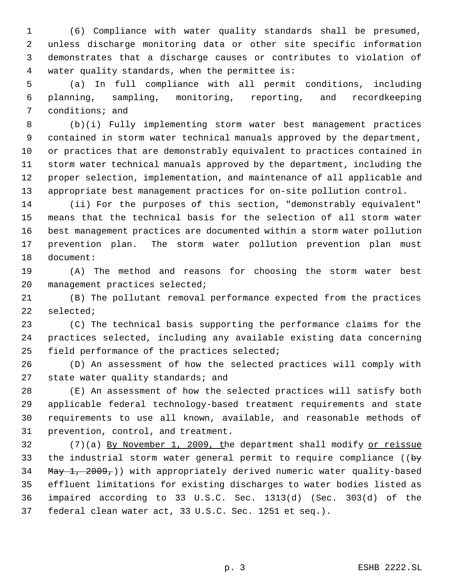(6) Compliance with water quality standards shall be presumed, unless discharge monitoring data or other site specific information demonstrates that a discharge causes or contributes to violation of water quality standards, when the permittee is:

 (a) In full compliance with all permit conditions, including planning, sampling, monitoring, reporting, and recordkeeping conditions; and

 (b)(i) Fully implementing storm water best management practices contained in storm water technical manuals approved by the department, or practices that are demonstrably equivalent to practices contained in storm water technical manuals approved by the department, including the proper selection, implementation, and maintenance of all applicable and appropriate best management practices for on-site pollution control.

 (ii) For the purposes of this section, "demonstrably equivalent" means that the technical basis for the selection of all storm water best management practices are documented within a storm water pollution prevention plan. The storm water pollution prevention plan must document:

 (A) The method and reasons for choosing the storm water best management practices selected;

 (B) The pollutant removal performance expected from the practices selected;

 (C) The technical basis supporting the performance claims for the practices selected, including any available existing data concerning field performance of the practices selected;

 (D) An assessment of how the selected practices will comply with 27 state water quality standards; and

 (E) An assessment of how the selected practices will satisfy both applicable federal technology-based treatment requirements and state requirements to use all known, available, and reasonable methods of prevention, control, and treatment.

32 (7)(a) By November 1, 2009, the department shall modify or reissue 33 the industrial storm water general permit to require compliance ( $\biguplus$ 34 May 1, 2009, ) with appropriately derived numeric water quality-based effluent limitations for existing discharges to water bodies listed as impaired according to 33 U.S.C. Sec. 1313(d) (Sec. 303(d) of the federal clean water act, 33 U.S.C. Sec. 1251 et seq.).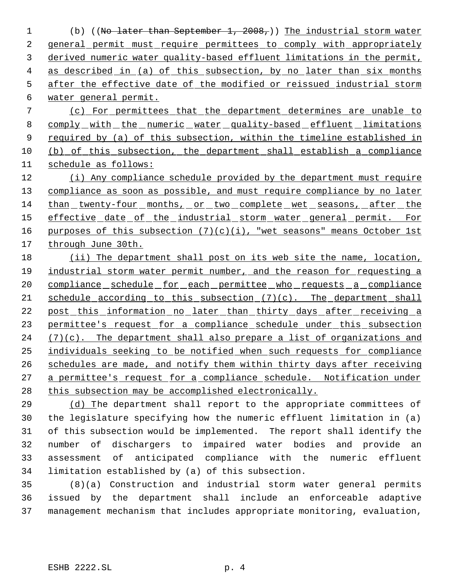(b) ((No later than September 1, 2008,)) The industrial storm water 2 general permit must require permittees to comply with appropriately derived numeric water quality-based effluent limitations in the permit, 4 as described in (a) of this subsection, by no later than six months after the effective date of the modified or reissued industrial storm water general permit.

 (c) For permittees that the department determines are unable to comply with the numeric water quality-based effluent limitations 9 required by (a) of this subsection, within the timeline established in (b) of this subsection, the department shall establish a compliance schedule as follows:

 (i) Any compliance schedule provided by the department must require 13 compliance as soon as possible, and must require compliance by no later than twenty-four months, or two complete wet seasons, after the 15 effective date of the industrial storm water general permit. For 16 purposes of this subsection  $(7)(c)(i)$ , "wet seasons" means October 1st through June 30th.

 (ii) The department shall post on its web site the name, location, industrial storm water permit number, and the reason for requesting a 20 compliance schedule for each permittee who requests a compliance 21 schedule according to this subsection  $(7)(c)$ . The department shall 22 post this information no later than thirty days after receiving a 23 permittee's request for a compliance schedule under this subsection  $(7)(c)$ . The department shall also prepare a list of organizations and individuals seeking to be notified when such requests for compliance schedules are made, and notify them within thirty days after receiving a permittee's request for a compliance schedule. Notification under this subsection may be accomplished electronically.

 (d) The department shall report to the appropriate committees of the legislature specifying how the numeric effluent limitation in (a) of this subsection would be implemented. The report shall identify the number of dischargers to impaired water bodies and provide an assessment of anticipated compliance with the numeric effluent limitation established by (a) of this subsection.

 (8)(a) Construction and industrial storm water general permits issued by the department shall include an enforceable adaptive management mechanism that includes appropriate monitoring, evaluation,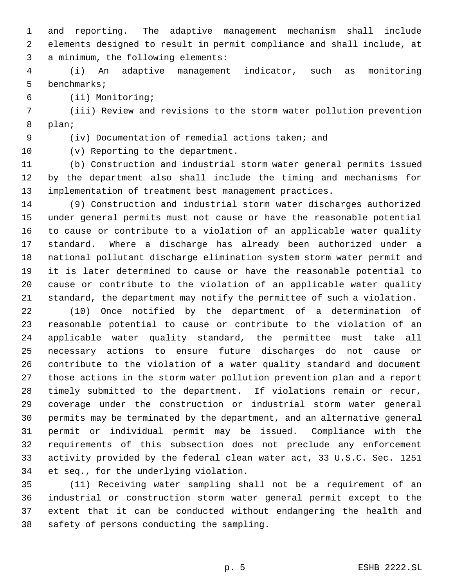and reporting. The adaptive management mechanism shall include elements designed to result in permit compliance and shall include, at a minimum, the following elements:

 (i) An adaptive management indicator, such as monitoring benchmarks;

(ii) Monitoring;

 (iii) Review and revisions to the storm water pollution prevention plan;

(iv) Documentation of remedial actions taken; and

(v) Reporting to the department.

 (b) Construction and industrial storm water general permits issued by the department also shall include the timing and mechanisms for implementation of treatment best management practices.

 (9) Construction and industrial storm water discharges authorized under general permits must not cause or have the reasonable potential to cause or contribute to a violation of an applicable water quality standard. Where a discharge has already been authorized under a national pollutant discharge elimination system storm water permit and it is later determined to cause or have the reasonable potential to cause or contribute to the violation of an applicable water quality standard, the department may notify the permittee of such a violation.

 (10) Once notified by the department of a determination of reasonable potential to cause or contribute to the violation of an applicable water quality standard, the permittee must take all necessary actions to ensure future discharges do not cause or contribute to the violation of a water quality standard and document those actions in the storm water pollution prevention plan and a report timely submitted to the department. If violations remain or recur, coverage under the construction or industrial storm water general permits may be terminated by the department, and an alternative general permit or individual permit may be issued. Compliance with the requirements of this subsection does not preclude any enforcement activity provided by the federal clean water act, 33 U.S.C. Sec. 1251 et seq., for the underlying violation.

 (11) Receiving water sampling shall not be a requirement of an industrial or construction storm water general permit except to the extent that it can be conducted without endangering the health and safety of persons conducting the sampling.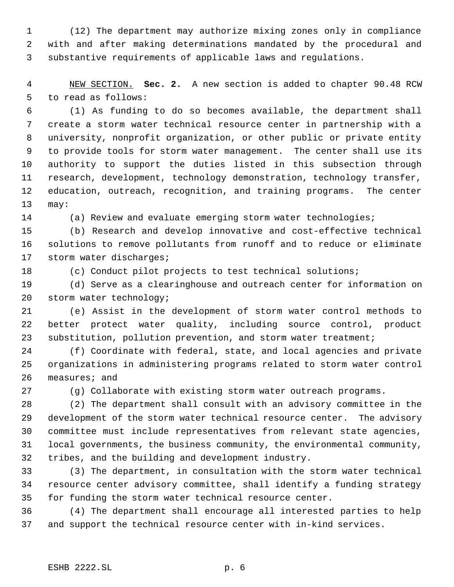(12) The department may authorize mixing zones only in compliance with and after making determinations mandated by the procedural and substantive requirements of applicable laws and regulations.

 NEW SECTION. **Sec. 2.** A new section is added to chapter 90.48 RCW to read as follows:

 (1) As funding to do so becomes available, the department shall create a storm water technical resource center in partnership with a university, nonprofit organization, or other public or private entity to provide tools for storm water management. The center shall use its authority to support the duties listed in this subsection through research, development, technology demonstration, technology transfer, education, outreach, recognition, and training programs. The center may:

(a) Review and evaluate emerging storm water technologies;

 (b) Research and develop innovative and cost-effective technical solutions to remove pollutants from runoff and to reduce or eliminate storm water discharges;

(c) Conduct pilot projects to test technical solutions;

 (d) Serve as a clearinghouse and outreach center for information on storm water technology;

 (e) Assist in the development of storm water control methods to better protect water quality, including source control, product 23 substitution, pollution prevention, and storm water treatment;

 (f) Coordinate with federal, state, and local agencies and private organizations in administering programs related to storm water control measures; and

(g) Collaborate with existing storm water outreach programs.

 (2) The department shall consult with an advisory committee in the development of the storm water technical resource center. The advisory committee must include representatives from relevant state agencies, local governments, the business community, the environmental community, tribes, and the building and development industry.

 (3) The department, in consultation with the storm water technical resource center advisory committee, shall identify a funding strategy for funding the storm water technical resource center.

 (4) The department shall encourage all interested parties to help and support the technical resource center with in-kind services.